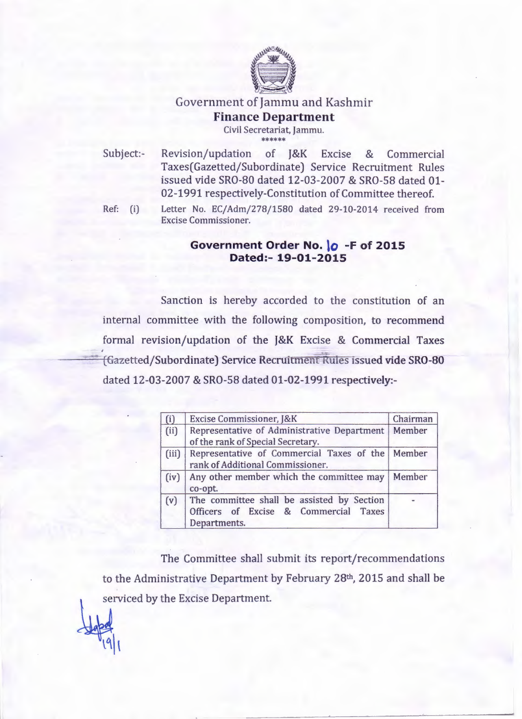

## Government of Jammu and Kashmir **Finance Department** Civil Secretariat, Jammu.

ste ste ste ste ste ste

Subject:- Revision/updation of J&K Excise & Commercial Taxes(Gazetted/Subordinate) Service Recruitment Rules issued vide SRO-80 dated 12-03-2007 & SRO-58 dated 01- 02-1991 respectively-Constitution of Committee thereof.

 $|9|$ 

Ref: (i) Letter No. EC/Adm/278/1580 dated 29-10-2014 received from Excise Commissioner.

## **Government Order No. \0 -F of 2015 Dated:- 19-01-2015**

Sanction is hereby accorded to the constitution of an internal committee with the following composition, to recommend formal revision/updation of the J&K Excise & Commercial Taxes ---'---==-. {Gazetted/Subordtnate] Service RecrultmenL Rules issued vide SRO-80 dated 12-03-2007 & SRO-58 dated 01-02-1991 respectively:-

| (i)   | Excise Commissioner, J&K                                                                            | Chairman |
|-------|-----------------------------------------------------------------------------------------------------|----------|
| (ii)  | Representative of Administrative Department<br>of the rank of Special Secretary.                    | Member   |
| (iii) | Representative of Commercial Taxes of the   Member<br>rank of Additional Commissioner.              |          |
| (iv)  | Any other member which the committee may<br>co-opt.                                                 | Member   |
| (v)   | The committee shall be assisted by Section<br>Officers of Excise & Commercial Taxes<br>Departments. |          |

- - -----------------

The Committee shall submit its report/recommendations to the Administrative Department by February 28th, 2015 and shall be serviced by the Excise Department.